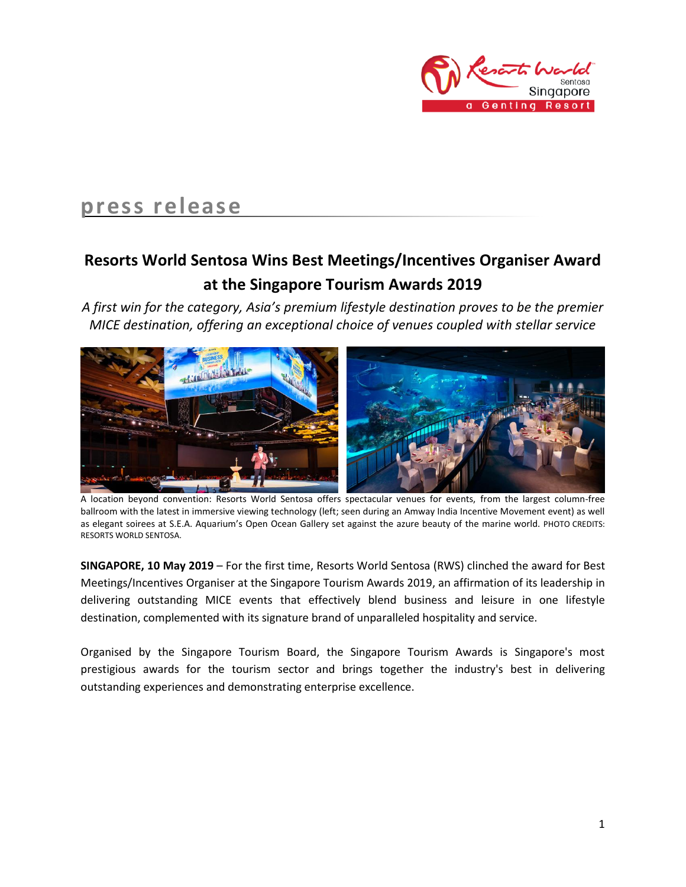

# **press release**

## **Resorts World Sentosa Wins Best Meetings/Incentives Organiser Award at the Singapore Tourism Awards 2019**

*A first win for the category, Asia's premium lifestyle destination proves to be the premier MICE destination, offering an exceptional choice of venues coupled with stellar service*



 A location beyond convention: Resorts World Sentosa offers spectacular venues for events, from the largest column-free ballroom with the latest in immersive viewing technology (left; seen during an Amway India Incentive Movement event) as well as elegant soirees at S.E.A. Aquarium's Open Ocean Gallery set against the azure beauty of the marine world. PHOTO CREDITS: RESORTS WORLD SENTOSA.

**SINGAPORE, 10 May 2019** – For the first time, Resorts World Sentosa (RWS) clinched the award for Best Meetings/Incentives Organiser at the Singapore Tourism Awards 2019, an affirmation of its leadership in delivering outstanding MICE events that effectively blend business and leisure in one lifestyle destination, complemented with its signature brand of unparalleled hospitality and service.

Organised by the Singapore Tourism Board, the Singapore Tourism Awards is Singapore's most prestigious awards for the tourism sector and brings together the industry's best in delivering outstanding experiences and demonstrating enterprise excellence.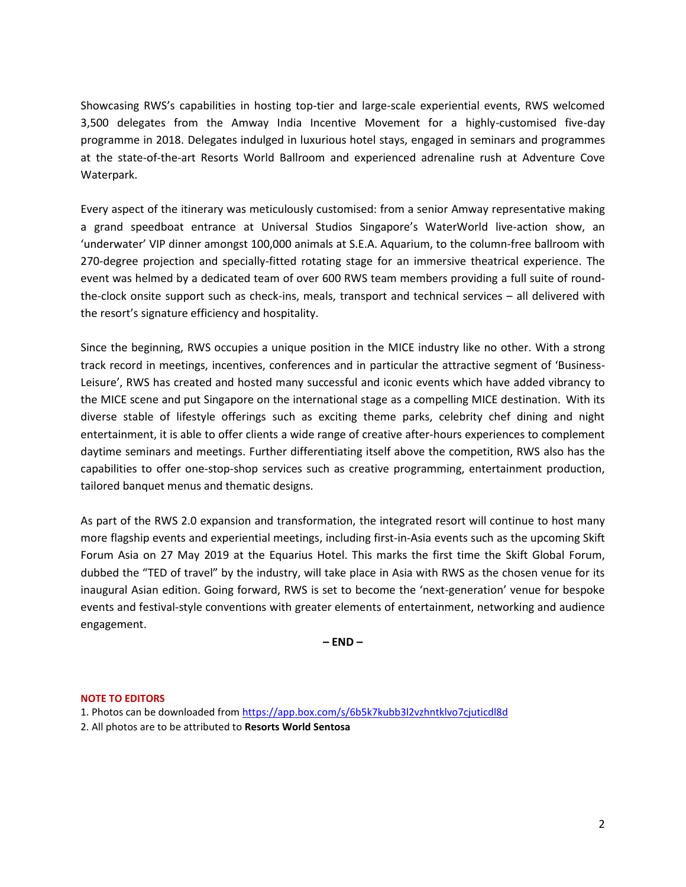Showcasing RWS's capabilities in hosting top-tier and large-scale experiential events, RWS welcomed 3,500 delegates from the Amway India Incentive Movement for a highly-customised five-day programme in 2018. Delegates indulged in luxurious hotel stays, engaged in seminars and programmes at the state-of-the-art Resorts World Ballroom and experienced adrenaline rush at Adventure Cove Waterpark.

Every aspect of the itinerary was meticulously customised: from a senior Amway representative making a grand speedboat entrance at Universal Studios Singapore's WaterWorld live-action show, an 'underwater' VIP dinner amongst 100,000 animals at S.E.A. Aquarium, to the column-free ballroom with 270-degree projection and specially-fitted rotating stage for an immersive theatrical experience. The event was helmed by a dedicated team of over 600 RWS team members providing a full suite of roundthe-clock onsite support such as check-ins, meals, transport and technical services – all delivered with the resort's signature efficiency and hospitality.

Since the beginning, RWS occupies a unique position in the MICE industry like no other. With a strong track record in meetings, incentives, conferences and in particular the attractive segment of 'Business-Leisure', RWS has created and hosted many successful and iconic events which have added vibrancy to the MICE scene and put Singapore on the international stage as a compelling MICE destination. With its diverse stable of lifestyle offerings such as exciting theme parks, celebrity chef dining and night entertainment, it is able to offer clients a wide range of creative after-hours experiences to complement daytime seminars and meetings. Further differentiating itself above the competition, RWS also has the capabilities to offer one-stop-shop services such as creative programming, entertainment production, tailored banquet menus and thematic designs.

As part of the RWS 2.0 expansion and transformation, the integrated resort will continue to host many more flagship events and experiential meetings, including first-in-Asia events such as the upcoming Skift Forum Asia on 27 May 2019 at the Equarius Hotel. This marks the first time the Skift Global Forum, dubbed the "TED of travel" by the industry, will take place in Asia with RWS as the chosen venue for its inaugural Asian edition. Going forward, RWS is set to become the 'next-generation' venue for bespoke events and festival-style conventions with greater elements of entertainment, networking and audience engagement.

**– END –**

## **NOTE TO EDITORS**

- 1. Photos can be downloaded from<https://app.box.com/s/6b5k7kubb3l2vzhntklvo7cjuticdl8d>
- 2. All photos are to be attributed to **Resorts World Sentosa**